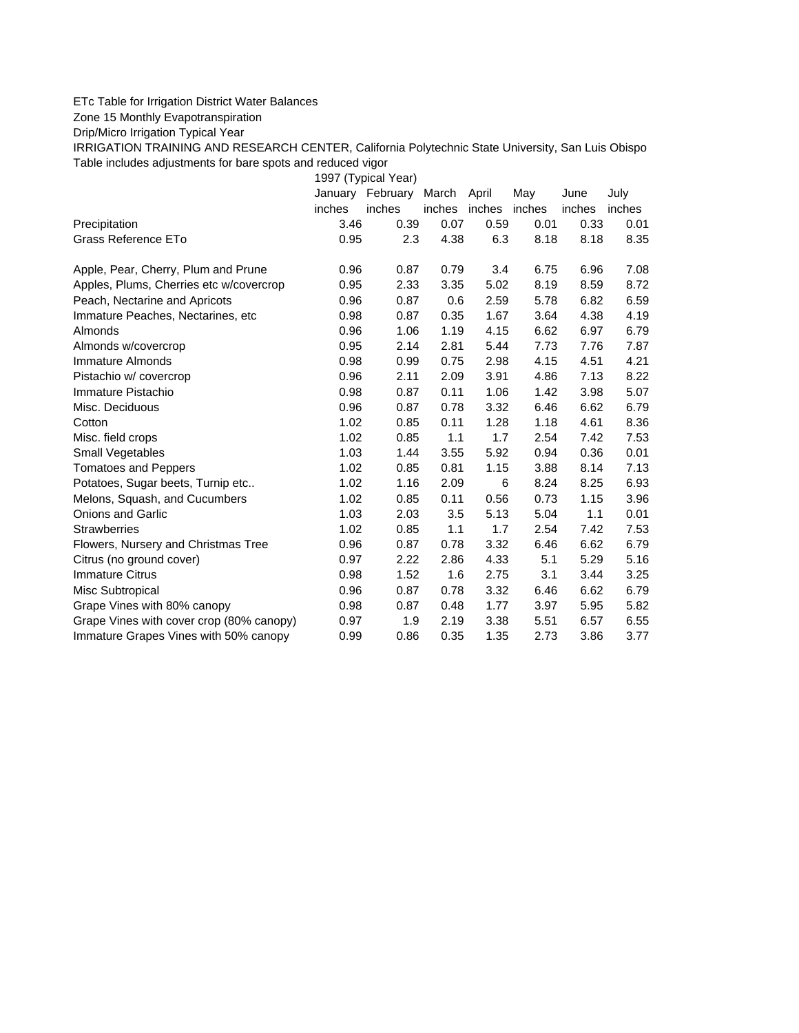## ETc Table for Irrigation District Water Balances

Zone 15 Monthly Evapotranspiration

Drip/Micro Irrigation Typical Year

IRRIGATION TRAINING AND RESEARCH CENTER, California Polytechnic State University, San Luis Obispo Table includes adjustments for bare spots and reduced vigor

1997 (Typical Year)

|                                          | January | February | March  | April  | May    | June   | July   |
|------------------------------------------|---------|----------|--------|--------|--------|--------|--------|
|                                          | inches  | inches   | inches | inches | inches | inches | inches |
| Precipitation                            | 3.46    | 0.39     | 0.07   | 0.59   | 0.01   | 0.33   | 0.01   |
| Grass Reference ETo                      | 0.95    | 2.3      | 4.38   | 6.3    | 8.18   | 8.18   | 8.35   |
| Apple, Pear, Cherry, Plum and Prune      | 0.96    | 0.87     | 0.79   | 3.4    | 6.75   | 6.96   | 7.08   |
| Apples, Plums, Cherries etc w/covercrop  | 0.95    | 2.33     | 3.35   | 5.02   | 8.19   | 8.59   | 8.72   |
| Peach, Nectarine and Apricots            | 0.96    | 0.87     | 0.6    | 2.59   | 5.78   | 6.82   | 6.59   |
| Immature Peaches, Nectarines, etc        | 0.98    | 0.87     | 0.35   | 1.67   | 3.64   | 4.38   | 4.19   |
| Almonds                                  | 0.96    | 1.06     | 1.19   | 4.15   | 6.62   | 6.97   | 6.79   |
| Almonds w/covercrop                      | 0.95    | 2.14     | 2.81   | 5.44   | 7.73   | 7.76   | 7.87   |
| Immature Almonds                         | 0.98    | 0.99     | 0.75   | 2.98   | 4.15   | 4.51   | 4.21   |
| Pistachio w/ covercrop                   | 0.96    | 2.11     | 2.09   | 3.91   | 4.86   | 7.13   | 8.22   |
| Immature Pistachio                       | 0.98    | 0.87     | 0.11   | 1.06   | 1.42   | 3.98   | 5.07   |
| Misc. Deciduous                          | 0.96    | 0.87     | 0.78   | 3.32   | 6.46   | 6.62   | 6.79   |
| Cotton                                   | 1.02    | 0.85     | 0.11   | 1.28   | 1.18   | 4.61   | 8.36   |
| Misc. field crops                        | 1.02    | 0.85     | 1.1    | 1.7    | 2.54   | 7.42   | 7.53   |
| Small Vegetables                         | 1.03    | 1.44     | 3.55   | 5.92   | 0.94   | 0.36   | 0.01   |
| <b>Tomatoes and Peppers</b>              | 1.02    | 0.85     | 0.81   | 1.15   | 3.88   | 8.14   | 7.13   |
| Potatoes, Sugar beets, Turnip etc        | 1.02    | 1.16     | 2.09   | 6      | 8.24   | 8.25   | 6.93   |
| Melons, Squash, and Cucumbers            | 1.02    | 0.85     | 0.11   | 0.56   | 0.73   | 1.15   | 3.96   |
| <b>Onions and Garlic</b>                 | 1.03    | 2.03     | 3.5    | 5.13   | 5.04   | 1.1    | 0.01   |
| <b>Strawberries</b>                      | 1.02    | 0.85     | 1.1    | 1.7    | 2.54   | 7.42   | 7.53   |
| Flowers, Nursery and Christmas Tree      | 0.96    | 0.87     | 0.78   | 3.32   | 6.46   | 6.62   | 6.79   |
| Citrus (no ground cover)                 | 0.97    | 2.22     | 2.86   | 4.33   | 5.1    | 5.29   | 5.16   |
| <b>Immature Citrus</b>                   | 0.98    | 1.52     | 1.6    | 2.75   | 3.1    | 3.44   | 3.25   |
| Misc Subtropical                         | 0.96    | 0.87     | 0.78   | 3.32   | 6.46   | 6.62   | 6.79   |
| Grape Vines with 80% canopy              | 0.98    | 0.87     | 0.48   | 1.77   | 3.97   | 5.95   | 5.82   |
| Grape Vines with cover crop (80% canopy) | 0.97    | 1.9      | 2.19   | 3.38   | 5.51   | 6.57   | 6.55   |
| Immature Grapes Vines with 50% canopy    | 0.99    | 0.86     | 0.35   | 1.35   | 2.73   | 3.86   | 3.77   |